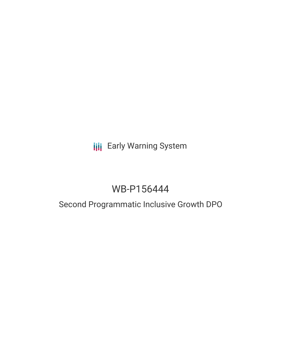# **III** Early Warning System

# WB-P156444

# Second Programmatic Inclusive Growth DPO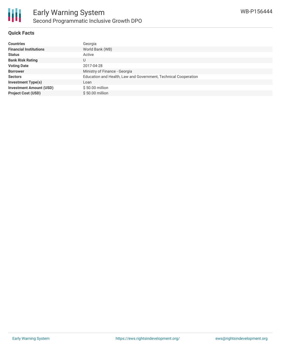

### **Quick Facts**

| <b>Countries</b>               | Georgia                                                         |
|--------------------------------|-----------------------------------------------------------------|
| <b>Financial Institutions</b>  | World Bank (WB)                                                 |
| <b>Status</b>                  | Active                                                          |
| <b>Bank Risk Rating</b>        | U                                                               |
| <b>Voting Date</b>             | 2017-04-28                                                      |
| <b>Borrower</b>                | Ministry of Finance - Georgia                                   |
| <b>Sectors</b>                 | Education and Health, Law and Government, Technical Cooperation |
| <b>Investment Type(s)</b>      | Loan                                                            |
| <b>Investment Amount (USD)</b> | \$50.00 million                                                 |
| <b>Project Cost (USD)</b>      | $$50.00$ million                                                |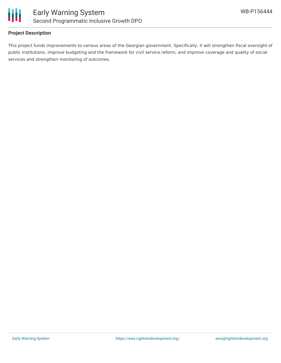

### **Project Description**

This project funds improvements to various areas of the Georgian government. Specifically, it will strengthen fiscal oversight of public institutions, improve budgeting and the framework for civil service reform, and improve coverage and quality of social services and strengthen monitoring of outcomes.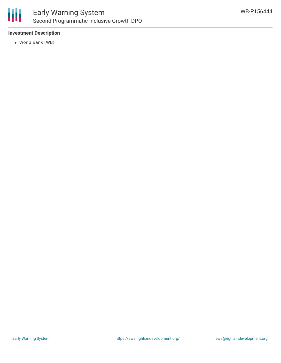

## **Investment Description**

World Bank (WB)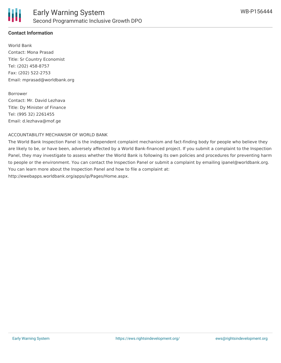

### **Contact Information**

World Bank Contact: Mona Prasad Title: Sr Country Economist Tel: (202) 458-8757 Fax: (202) 522-2753 Email: mprasad@worldbank.org

#### Borrower

Contact: Mr. David Lezhava Title: Dy Minister of Finance Tel: (995 32) 2261455 Email: d.lezhava@mof.ge

#### ACCOUNTABILITY MECHANISM OF WORLD BANK

The World Bank Inspection Panel is the independent complaint mechanism and fact-finding body for people who believe they are likely to be, or have been, adversely affected by a World Bank-financed project. If you submit a complaint to the Inspection Panel, they may investigate to assess whether the World Bank is following its own policies and procedures for preventing harm to people or the environment. You can contact the Inspection Panel or submit a complaint by emailing ipanel@worldbank.org. You can learn more about the Inspection Panel and how to file a complaint at: http://ewebapps.worldbank.org/apps/ip/Pages/Home.aspx.